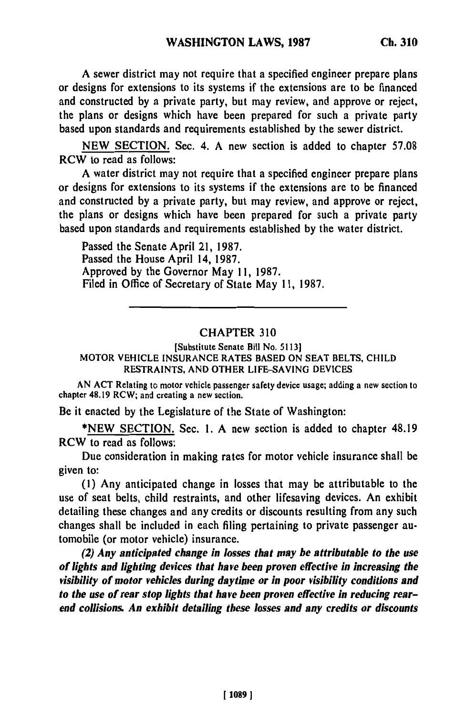**A** sewer district may not require that a specified engineer prepare plans or designs for extensions to its systems if the extensions are to be financed and constructed by a private party, but may review, and approve or reject, the plans or designs which have been prepared for such a private party based upon standards and requirements established by the sewer district.

NEW SECTION. Sec. 4. A new section is added to chapter 57.08 RCW to read as follows:

A water district may not require that a specified engineer prepare plans or designs for extensions to its systems if the extensions are to be financed and constructed by a private party, but may review, and approve or reject, the plans or designs which have been prepared for such a private party based upon standards and requirements established by the water district.

Passed the Senate April 21, 1987. Passed the House April 14, 1987. Approved by the Governor May 11, 1987. Filed in Office of Secretary of State May **11,** 1987.

## CHAPTER 310

## [Substitute Senate Bill No. 5113] MOTOR **VEHICLE** INSURANCE RATES BASED ON SEAT BELTS, CHILD RESTRAINTS, AND OTHER LIFE-SAVING DEVICES

AN ACT Relating to motor vehicle passenger safety device usage; adding a new section to chapter 48.19 RCW; and creating a new section.

Be it enacted by the Legislature of the State of Washington:

\*NEW SECTION. Sec. 1. A new section is added to chapter 48.19 RCW to read as follows:

Due consideration in making rates for motor vehicle insurance shall be given to:

(1) Any anticipated change in losses that may be attributable to the use of seat belts, child restraints, and other lifesaving devices. An exhibit detailing these changes and any credits or discounts resulting from any such changes shall be included in each filing pertaining to private passenger automobile (or motor vehicle) insurance.

*(2) Any anticipated change in losses that may be attributable to the use of lights and lighting devices that have been proven effective in increasing the visibility of motor vehicles during daytime or in poor visibility conditions and to the use of rear stop lights that have been proven effective in reducing rearend collisions. An exhibit detailing these losses and any credits or discounts*